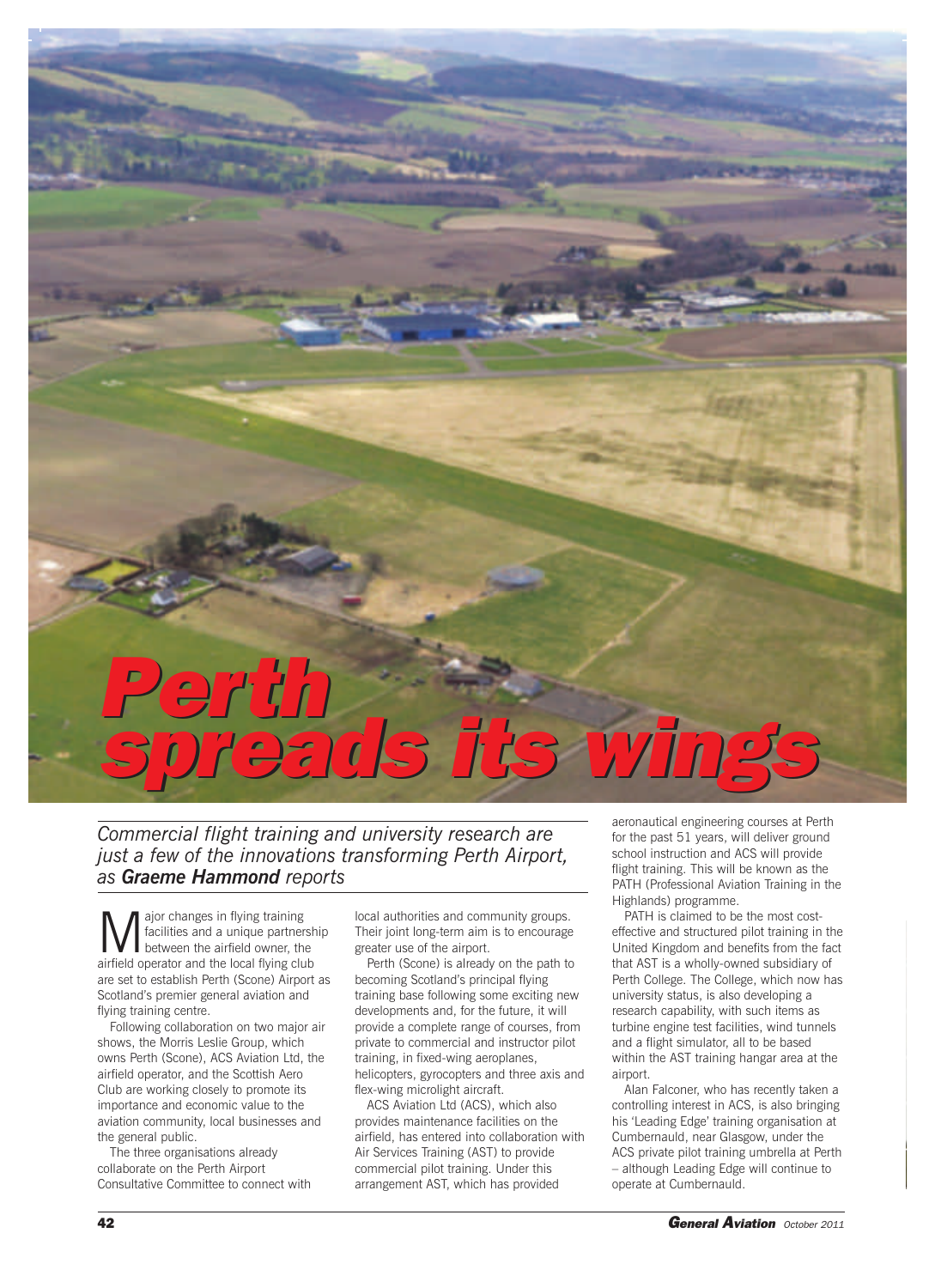## *Commercial flight training and university research are just a few of the innovations transforming Perth Airport, as Graeme Hammond reports*

**M** ajor changes in flying training<br>facilities and a unique partners<br>between the airfield owner, the<br>pirfield operator and the local flying club facilities and a unique partnership airfield operator and the local flying club are set to establish Perth (Scone) Airport as Scotland's premier general aviation and flying training centre.

*Perth Perth*

Following collaboration on two major air shows, the Morris Leslie Group, which owns Perth (Scone), ACS Aviation Ltd, the airfield operator, and the Scottish Aero Club are working closely to promote its importance and economic value to the aviation community, local businesses and the general public.

The three organisations already collaborate on the Perth Airport Consultative Committee to connect with

local authorities and community groups. Their joint long-term aim is to encourage greater use of the airport.

*spreads its wings spreads its wings*

Perth (Scone) is already on the path to becoming Scotland's principal flying training base following some exciting new developments and, for the future, it will provide a complete range of courses, from private to commercial and instructor pilot training, in fixed-wing aeroplanes, helicopters, gyrocopters and three axis and flex-wing microlight aircraft.

ACS Aviation Ltd (ACS), which also provides maintenance facilities on the airfield, has entered into collaboration with Air Services Training (AST) to provide commercial pilot training. Under this arrangement AST, which has provided

aeronautical engineering courses at Perth for the past 51 years, will deliver ground school instruction and ACS will provide flight training. This will be known as the PATH (Professional Aviation Training in the Highlands) programme.

PATH is claimed to be the most costeffective and structured pilot training in the United Kingdom and benefits from the fact that AST is a wholly-owned subsidiary of Perth College. The College, which now has university status, is also developing a research capability, with such items as turbine engine test facilities, wind tunnels and a flight simulator, all to be based within the AST training hangar area at the airport

Alan Falconer, who has recently taken a controlling interest in ACS, is also bringing his 'Leading Edge' training organisation at Cumbernauld, near Glasgow, under the ACS private pilot training umbrella at Perth – although Leading Edge will continue to operate at Cumbernauld.